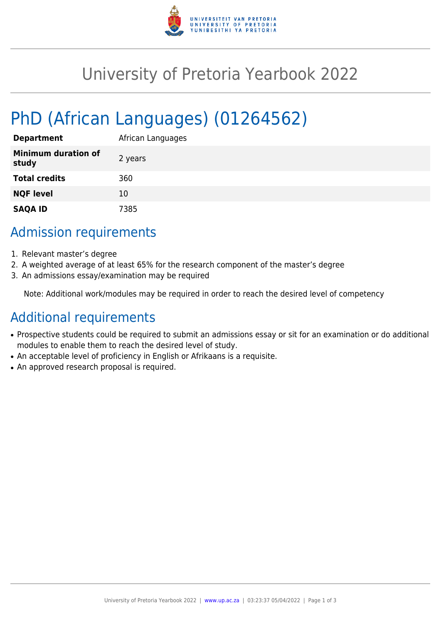

## University of Pretoria Yearbook 2022

# PhD (African Languages) (01264562)

| <b>Department</b>                   | African Languages |
|-------------------------------------|-------------------|
| <b>Minimum duration of</b><br>study | 2 years           |
| <b>Total credits</b>                | 360               |
| <b>NQF level</b>                    | 10                |
| <b>SAQA ID</b>                      | 7385              |

## Admission requirements

- 1. Relevant master's degree
- 2. A weighted average of at least 65% for the research component of the master's degree
- 3. An admissions essay/examination may be required

Note: Additional work/modules may be required in order to reach the desired level of competency

## Additional requirements

- Prospective students could be required to submit an admissions essay or sit for an examination or do additional modules to enable them to reach the desired level of study.
- An acceptable level of proficiency in English or Afrikaans is a requisite.
- An approved research proposal is required.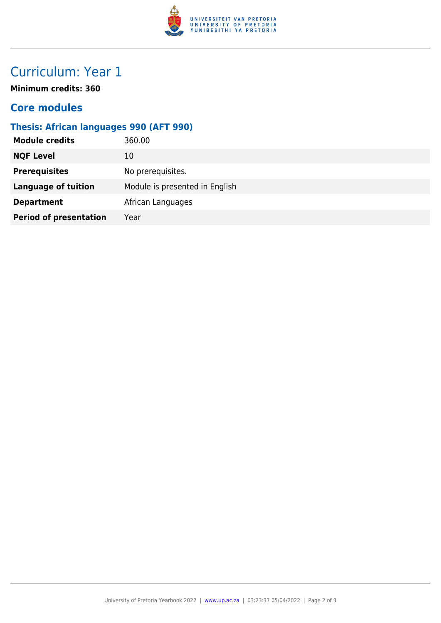

## Curriculum: Year 1

**Minimum credits: 360**

### **Core modules**

### **Thesis: African languages 990 (AFT 990)**

| <b>Module credits</b>         | 360.00                         |
|-------------------------------|--------------------------------|
| <b>NQF Level</b>              | 10                             |
| <b>Prerequisites</b>          | No prerequisites.              |
| <b>Language of tuition</b>    | Module is presented in English |
| <b>Department</b>             | African Languages              |
| <b>Period of presentation</b> | Year                           |